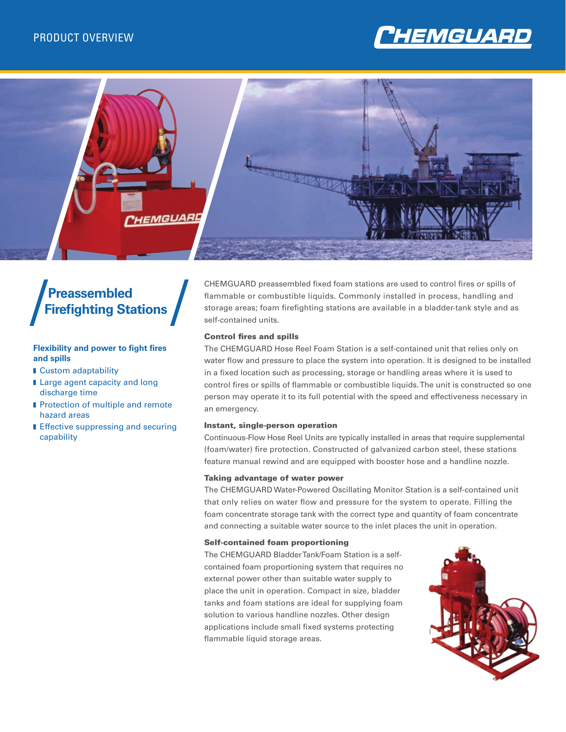



# **Preassembled Firefighting Stations**

#### **Flexibility and power to fight fires and spills**

- **n** Custom adaptability
- **Large agent capacity and long** discharge time
- **n** Protection of multiple and remote hazard areas
- **Effective suppressing and securing** capability

CHEMGUARD preassembled fixed foam stations are used to control fires or spills of flammable or combustible liquids. Commonly installed in process, handling and storage areas; foam firefighting stations are available in a bladder-tank style and as self-contained units.

#### Control fires and spills

The CHEMGUARD Hose Reel Foam Station is a self-contained unit that relies only on water flow and pressure to place the system into operation. It is designed to be installed in a fixed location such as processing, storage or handling areas where it is used to control fires or spills of flammable or combustible liquids. The unit is constructed so one person may operate it to its full potential with the speed and effectiveness necessary in an emergency.

#### Instant, single-person operation

Continuous-Flow Hose Reel Units are typically installed in areas that require supplemental (foam/water) fire protection. Constructed of galvanized carbon steel, these stations feature manual rewind and are equipped with booster hose and a handline nozzle.

#### Taking advantage of water power

The CHEMGUARD Water-Powered Oscillating Monitor Station is a self-contained unit that only relies on water flow and pressure for the system to operate. Filling the foam concentrate storage tank with the correct type and quantity of foam concentrate and connecting a suitable water source to the inlet places the unit in operation.

#### Self-contained foam proportioning

The CHEMGUARD Bladder Tank/Foam Station is a selfcontained foam proportioning system that requires no external power other than suitable water supply to place the unit in operation. Compact in size, bladder tanks and foam stations are ideal for supplying foam solution to various handline nozzles. Other design applications include small fixed systems protecting flammable liquid storage areas.